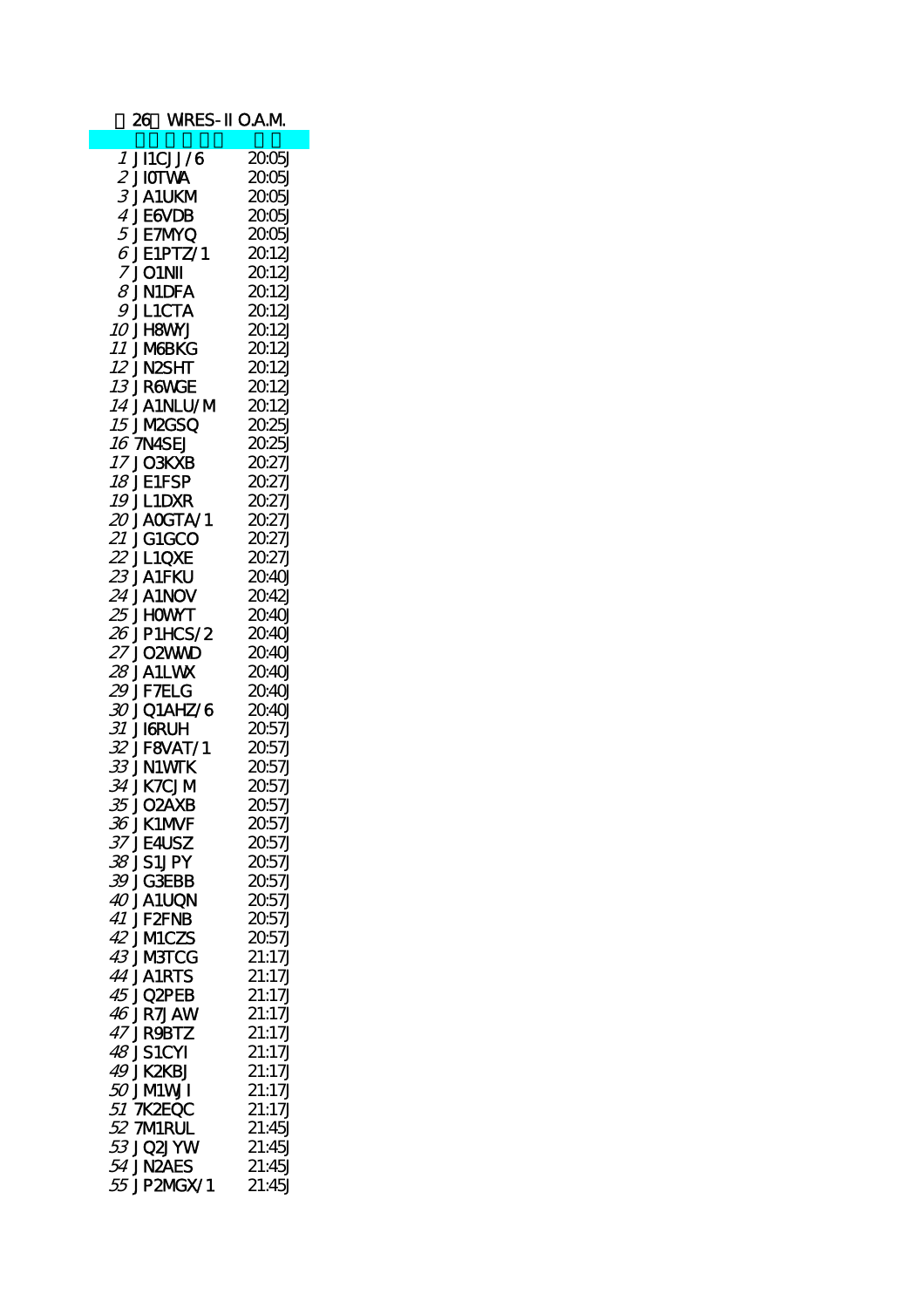|                  |                    | 26 WRES-II O.A.M |
|------------------|--------------------|------------------|
|                  |                    |                  |
|                  | 1 JI1CJJ/6         | 2005J            |
| $2$ JIOTWA       |                    | 2005J            |
|                  | 3 JA1UKM           | 2005             |
|                  | 4 JE6VDB           | 2005J            |
|                  | <i>5</i> JE7MYQ    | 2005J            |
|                  | $6$ JE1PTZ/1       |                  |
|                  |                    | 2012J            |
| <b>7 JO1NII</b>  |                    | 2012J            |
|                  | $\beta$ JN1DFA     | 2012J            |
|                  | 9 JL1CTA           | 2012J            |
| <i>10</i> JH8WNJ |                    | 2012J            |
| <i>11</i> JM&BKG |                    | 2012J            |
| 12 JN2SHT        |                    | 2012J            |
| <i>13</i> JR6WGE |                    | 2012J            |
|                  | <i>14</i> JA1NLU/M | 2012J            |
|                  | <b>15 JM2GSQ</b>   | 2025J            |
|                  |                    |                  |
| 16 7N4SEJ        |                    | 2025J            |
| 17 JO3KXB        |                    | 20.27J           |
| <b>18 JE1FSP</b> |                    | 20.27J           |
| <b>19 JL1DXR</b> |                    | 20.27J           |
|                  | $20$ JACGTA/1      | 2027J            |
| 21 JG1GCO        |                    | 20.27J           |
| 22 JL1QXE        |                    | 2027J            |
| 23 JA1FKU        |                    | 20.40J           |
| 24 JA1NOV        |                    | 2042J            |
|                  |                    |                  |
| 25 JHOWNT        |                    | 20.40J           |
|                  | 26 JP1HCS/2        | 2040J            |
| 27 JO2WWD        |                    | 20.40J           |
| 28 JA1LWK        |                    | 2040J            |
| 29 JF TELG       |                    | 2040J            |
|                  | 30 J Q1AHZ/6       | 2040J            |
| 31 JIGRUH        |                    | 2057J            |
|                  | 32 JF8VAT/1        | 2057J            |
| 33 JN1WTK        |                    | 2057J            |
| 34 JK7CJM        |                    | 2057J            |
| <i>35</i> JO2AXB |                    |                  |
|                  |                    | 2057J            |
| 36 JK1M/F        |                    | 2057J            |
| 37 JE4USZ        |                    | 2057J            |
| 38 JS1JPY        |                    | 2057J            |
| 39 JG3EBB        |                    | 2057J            |
| <i>40</i> JA1UQN |                    | 2057J            |
| 41 JF2FNB        |                    | 2057J            |
| 42 JMICZS        |                    | 2057J            |
| 43 JMBTCG        |                    | 21:17J           |
| 44 JA1RTS        |                    | 21:17J           |
| 45 JQ2PEB        |                    | 21:17J           |
|                  |                    |                  |
| <b>46 JR7JAW</b> |                    | 21:17J           |
| 47 JR9BTZ        |                    | 21:17J           |
| 48 JS1CYI        |                    | 21:17J           |
| 49 JK2KBJ        |                    | 21:17J           |
| <i>50</i> JMWI   |                    | 21:17J           |
| 51 7K2EQC        |                    | 21:17J           |
| 52 7MRUL         |                    | 21:45J           |
| <i>53</i> JQ2JYW |                    | 21:45J           |
| 54 JN2AES        |                    | 21:45J           |
|                  |                    |                  |
|                  | 55 JP2MGX/1        | 21:45J           |